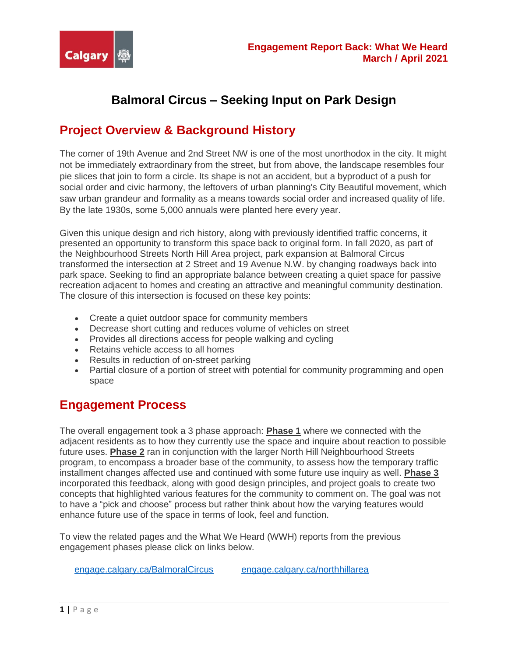

# **Balmoral Circus – Seeking Input on Park Design**

## **Project Overview & Background History**

The corner of 19th Avenue and 2nd Street NW is one of the most unorthodox in the city. It might not be immediately extraordinary from the street, but from above, the landscape resembles four pie slices that join to form a circle. Its shape is not an accident, but a byproduct of a push for social order and civic harmony, the leftovers of urban planning's City Beautiful movement, which saw urban grandeur and formality as a means towards social order and increased quality of life. By the late 1930s, some 5,000 annuals were planted here every year.

Given this unique design and rich history, along with previously identified traffic concerns, it presented an opportunity to transform this space back to original form. In fall 2020, as part of the Neighbourhood Streets North Hill Area project, park expansion at Balmoral Circus transformed the intersection at 2 Street and 19 Avenue N.W. by changing roadways back into park space. Seeking to find an appropriate balance between creating a quiet space for passive recreation adjacent to homes and creating an attractive and meaningful community destination. The closure of this intersection is focused on these key points:

- Create a quiet outdoor space for community members
- Decrease short cutting and reduces volume of vehicles on street
- Provides all directions access for people walking and cycling
- Retains vehicle access to all homes
- Results in reduction of on-street parking
- Partial closure of a portion of street with potential for community programming and open space

### **Engagement Process**

The overall engagement took a 3 phase approach: **Phase 1** where we connected with the adjacent residents as to how they currently use the space and inquire about reaction to possible future uses. **Phase 2** ran in conjunction with the larger North Hill Neighbourhood Streets program, to encompass a broader base of the community, to assess how the temporary traffic installment changes affected use and continued with some future use inquiry as well. **Phase 3** incorporated this feedback, along with good design principles, and project goals to create two concepts that highlighted various features for the community to comment on. The goal was not to have a "pick and choose" process but rather think about how the varying features would enhance future use of the space in terms of look, feel and function.

To view the related pages and the What We Heard (WWH) reports from the previous engagement phases please click on links below.

[engage.calgary.ca/BalmoralCircus](https://engage.calgary.ca/BalmoralCircus)[engage.calgary.ca/northhillarea](https://engage.calgary.ca/northhillarea)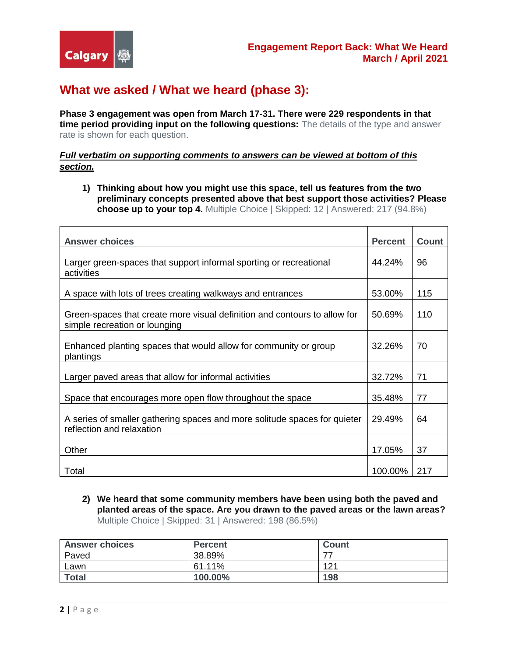## **What we asked / What we heard (phase 3):**

**Phase 3 engagement was open from March 17-31. There were 229 respondents in that time period providing input on the following questions:** The details of the type and answer rate is shown for each question.

#### *Full verbatim on supporting comments to answers can be viewed at bottom of this section.*

**1) Thinking about how you might use this space, tell us features from the two preliminary concepts presented above that best support those activities? Please choose up to your top 4.** Multiple Choice | Skipped: 12 | Answered: 217 (94.8%)

| <b>Answer choices</b>                                                                                      | <b>Percent</b> | <b>Count</b> |
|------------------------------------------------------------------------------------------------------------|----------------|--------------|
| Larger green-spaces that support informal sporting or recreational<br>activities                           | 44.24%         | 96           |
| A space with lots of trees creating walkways and entrances                                                 | 53.00%         | 115          |
| Green-spaces that create more visual definition and contours to allow for<br>simple recreation or lounging | 50.69%         | 110          |
| Enhanced planting spaces that would allow for community or group<br>plantings                              | 32.26%         | 70           |
| Larger paved areas that allow for informal activities                                                      | 32.72%         | 71           |
| Space that encourages more open flow throughout the space                                                  | 35.48%         | 77           |
| A series of smaller gathering spaces and more solitude spaces for quieter<br>reflection and relaxation     | 29.49%         | 64           |
| Other                                                                                                      | 17.05%         | 37           |
| Total                                                                                                      | 100.00%        | 217          |

**2) We heard that some community members have been using both the paved and planted areas of the space. Are you drawn to the paved areas or the lawn areas?**  Multiple Choice | Skipped: 31 | Answered: 198 (86.5%)

| <b>Answer choices</b> | <b>Percent</b> | Count |
|-----------------------|----------------|-------|
| Paved                 | 38.89%         |       |
| Lawn                  | 61.11%         | 121   |
| <b>Total</b>          | 100.00%        | 198   |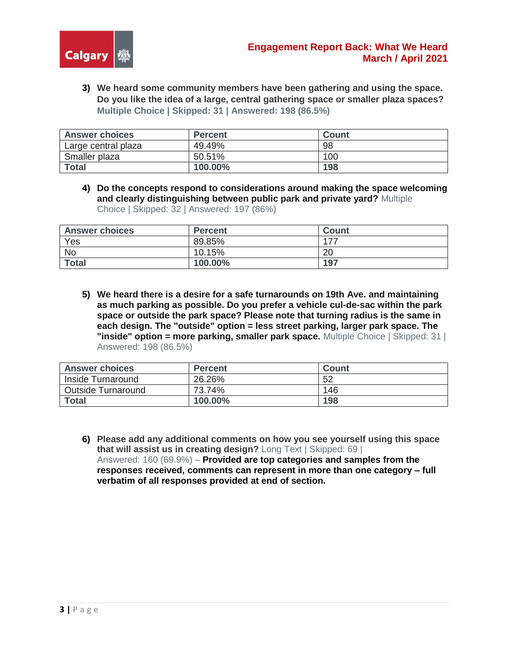

**3) We heard some community members have been gathering and using the space. Do you like the idea of a large, central gathering space or smaller plaza spaces? Multiple Choice | Skipped: 31 | Answered: 198 (86.5%)** 

| <b>Answer choices</b> | <b>Percent</b> | Count |
|-----------------------|----------------|-------|
| Large central plaza   | 49.49%         | 98    |
| Smaller plaza         | 50.51%         | 100   |
| <b>Total</b>          | 100.00%        | 198   |

**4) Do the concepts respond to considerations around making the space welcoming and clearly distinguishing between public park and private yard?** Multiple Choice | Skipped: 32 | Answered: 197 (86%)

| <b>Answer choices</b> | <b>Percent</b> | Count  |
|-----------------------|----------------|--------|
| Yes                   | 89.85%         | $-177$ |
| <b>No</b>             | 10.15%         | 20     |
| <b>Total</b>          | 100.00%        | 197    |

**5) We heard there is a desire for a safe turnarounds on 19th Ave. and maintaining as much parking as possible. Do you prefer a vehicle cul-de-sac within the park space or outside the park space? Please note that turning radius is the same in each design. The "outside" option = less street parking, larger park space. The "inside" option = more parking, smaller park space.** Multiple Choice | Skipped: 31 | Answered: 198 (86.5%)

| <b>Answer choices</b>     | <b>Percent</b> | <b>Count</b> |
|---------------------------|----------------|--------------|
| Inside Turnaround         | 26.26%         | 52           |
| <b>Outside Turnaround</b> | 73.74%         | 146          |
| <b>Total</b>              | 100.00%        | 198          |

**6) Please add any additional comments on how you see yourself using this space that will assist us in creating design?** Long Text | Skipped: 69 | Answered: 160 (69.9%) – **Provided are top categories and samples from the responses received, comments can represent in more than one category – full verbatim of all responses provided at end of section.**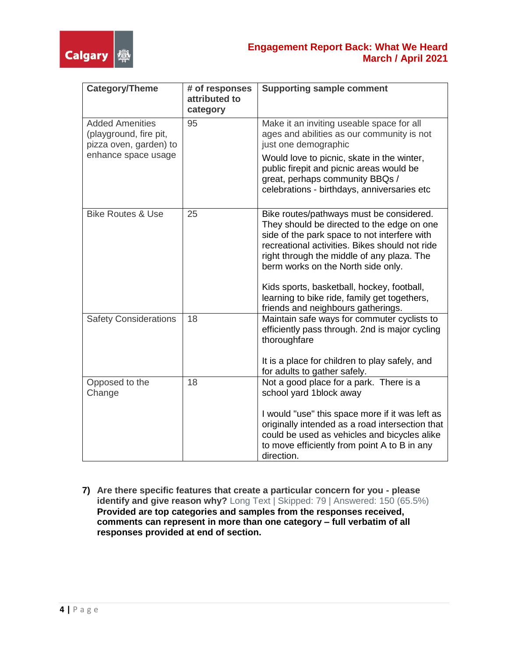

### **Engagement Report Back: What We Heard March / April 2021**

| <b>Category/Theme</b>                                                      | # of responses<br>attributed to<br>category | <b>Supporting sample comment</b>                                                                                                                                                                                                                                             |
|----------------------------------------------------------------------------|---------------------------------------------|------------------------------------------------------------------------------------------------------------------------------------------------------------------------------------------------------------------------------------------------------------------------------|
| <b>Added Amenities</b><br>(playground, fire pit,<br>pizza oven, garden) to | 95                                          | Make it an inviting useable space for all<br>ages and abilities as our community is not<br>just one demographic                                                                                                                                                              |
| enhance space usage                                                        |                                             | Would love to picnic, skate in the winter,<br>public firepit and picnic areas would be<br>great, perhaps community BBQs /<br>celebrations - birthdays, anniversaries etc                                                                                                     |
| <b>Bike Routes &amp; Use</b>                                               | 25                                          | Bike routes/pathways must be considered.<br>They should be directed to the edge on one<br>side of the park space to not interfere with<br>recreational activities. Bikes should not ride<br>right through the middle of any plaza. The<br>berm works on the North side only. |
|                                                                            |                                             | Kids sports, basketball, hockey, football,<br>learning to bike ride, family get togethers,<br>friends and neighbours gatherings.                                                                                                                                             |
| <b>Safety Considerations</b>                                               | 18                                          | Maintain safe ways for commuter cyclists to<br>efficiently pass through. 2nd is major cycling<br>thoroughfare                                                                                                                                                                |
|                                                                            |                                             | It is a place for children to play safely, and<br>for adults to gather safely.                                                                                                                                                                                               |
| Opposed to the<br>Change                                                   | 18                                          | Not a good place for a park. There is a<br>school yard 1block away                                                                                                                                                                                                           |
|                                                                            |                                             | I would "use" this space more if it was left as<br>originally intended as a road intersection that<br>could be used as vehicles and bicycles alike<br>to move efficiently from point A to B in any<br>direction.                                                             |

**7) Are there specific features that create a particular concern for you - please identify and give reason why?** Long Text | Skipped: 79 | Answered: 150 (65.5%) **Provided are top categories and samples from the responses received, comments can represent in more than one category – full verbatim of all responses provided at end of section.**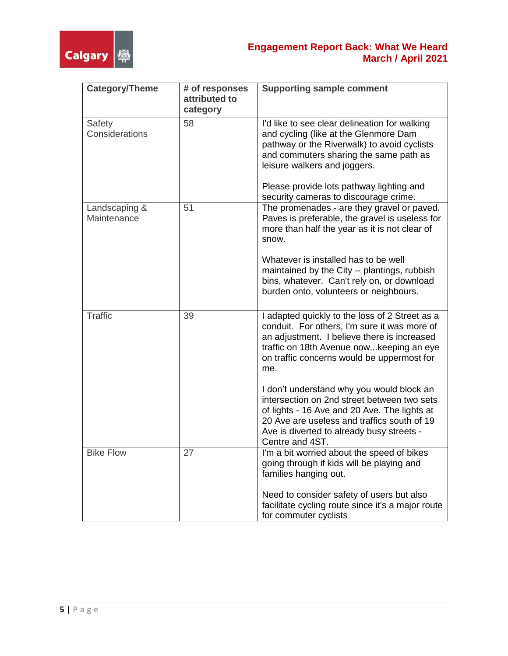

### **Engagement Report Back: What We Heard March / April 2021**

| <b>Category/Theme</b>        | # of responses<br>attributed to<br>category | <b>Supporting sample comment</b>                                                                                                                                                                                                                        |
|------------------------------|---------------------------------------------|---------------------------------------------------------------------------------------------------------------------------------------------------------------------------------------------------------------------------------------------------------|
| Safety<br>Considerations     | 58                                          | I'd like to see clear delineation for walking<br>and cycling (like at the Glenmore Dam<br>pathway or the Riverwalk) to avoid cyclists<br>and commuters sharing the same path as<br>leisure walkers and joggers.                                         |
|                              |                                             | Please provide lots pathway lighting and<br>security cameras to discourage crime.                                                                                                                                                                       |
| Landscaping &<br>Maintenance | 51                                          | The promenades - are they gravel or paved.<br>Paves is preferable, the gravel is useless for<br>more than half the year as it is not clear of<br>snow.                                                                                                  |
|                              |                                             | Whatever is installed has to be well<br>maintained by the City -- plantings, rubbish<br>bins, whatever. Can't rely on, or download<br>burden onto, volunteers or neighbours.                                                                            |
| Traffic                      | 39                                          | I adapted quickly to the loss of 2 Street as a<br>conduit. For others, I'm sure it was more of<br>an adjustment. I believe there is increased<br>traffic on 18th Avenue nowkeeping an eye<br>on traffic concerns would be uppermost for<br>me.          |
|                              |                                             | I don't understand why you would block an<br>intersection on 2nd street between two sets<br>of lights - 16 Ave and 20 Ave. The lights at<br>20 Ave are useless and traffics south of 19<br>Ave is diverted to already busy streets -<br>Centre and 4ST. |
| <b>Bike Flow</b>             | 27                                          | I'm a bit worried about the speed of bikes<br>going through if kids will be playing and<br>families hanging out.                                                                                                                                        |
|                              |                                             | Need to consider safety of users but also<br>facilitate cycling route since it's a major route<br>for commuter cyclists                                                                                                                                 |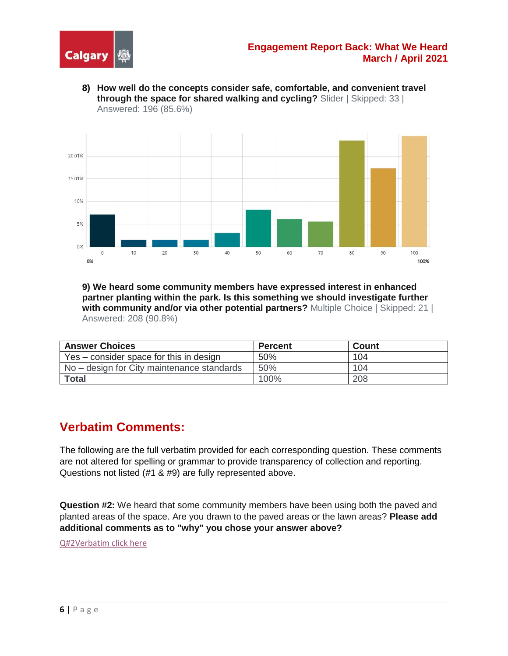

**8) How well do the concepts consider safe, comfortable, and convenient travel through the space for shared walking and cycling?** Slider | Skipped: 33 | Answered: 196 (85.6%)



**9) We heard some community members have expressed interest in enhanced partner planting within the park. Is this something we should investigate further with community and/or via other potential partners?** Multiple Choice | Skipped: 21 | Answered: 208 (90.8%)

| <b>Answer Choices</b>                      | <b>Percent</b> | <b>Count</b> |
|--------------------------------------------|----------------|--------------|
| Yes – consider space for this in design    | 50%            | 104          |
| No – design for City maintenance standards | 50%            | 104          |
| <b>Total</b>                               | 100%           | 208          |

### **Verbatim Comments:**

The following are the full verbatim provided for each corresponding question. These comments are not altered for spelling or grammar to provide transparency of collection and reporting. Questions not listed (#1 & #9) are fully represented above.

**Question #2:** We heard that some community members have been using both the paved and planted areas of the space. Are you drawn to the paved areas or the lawn areas? **Please add additional comments as to "why" you chose your answer above?**

[Q#2Verbatim click here](https://www.calgary.ca/content/dam/www/engage/documents/balmoral-circus/q2-additional-comments-verbatim.pdf)